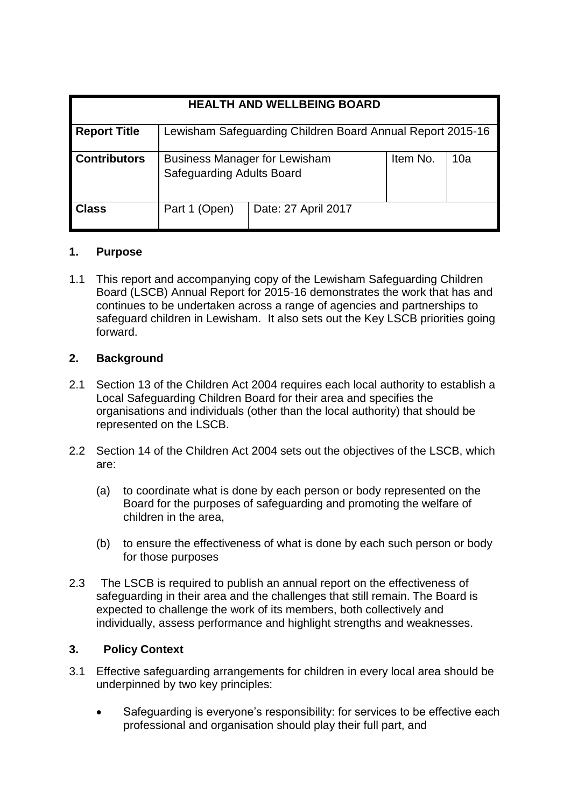| <b>HEALTH AND WELLBEING BOARD</b> |                                                                          |                     |          |     |
|-----------------------------------|--------------------------------------------------------------------------|---------------------|----------|-----|
| <b>Report Title</b>               | Lewisham Safeguarding Children Board Annual Report 2015-16               |                     |          |     |
| <b>Contributors</b>               | <b>Business Manager for Lewisham</b><br><b>Safeguarding Adults Board</b> |                     | Item No. | 10a |
| <b>Class</b>                      | Part 1 (Open)                                                            | Date: 27 April 2017 |          |     |

#### **1. Purpose**

1.1 This report and accompanying copy of the Lewisham Safeguarding Children Board (LSCB) Annual Report for 2015-16 demonstrates the work that has and continues to be undertaken across a range of agencies and partnerships to safeguard children in Lewisham. It also sets out the Key LSCB priorities going forward.

## **2. Background**

- 2.1 Section 13 of the Children Act 2004 requires each local authority to establish a Local Safeguarding Children Board for their area and specifies the organisations and individuals (other than the local authority) that should be represented on the LSCB.
- 2.2 Section 14 of the Children Act 2004 sets out the objectives of the LSCB, which are:
	- (a) to coordinate what is done by each person or body represented on the Board for the purposes of safeguarding and promoting the welfare of children in the area,
	- (b) to ensure the effectiveness of what is done by each such person or body for those purposes
- 2.3 The LSCB is required to publish an annual report on the effectiveness of safeguarding in their area and the challenges that still remain. The Board is expected to challenge the work of its members, both collectively and individually, assess performance and highlight strengths and weaknesses.

#### **3. Policy Context**

- 3.1 Effective safeguarding arrangements for children in every local area should be underpinned by two key principles:
	- Safeguarding is everyone's responsibility: for services to be effective each professional and organisation should play their full part, and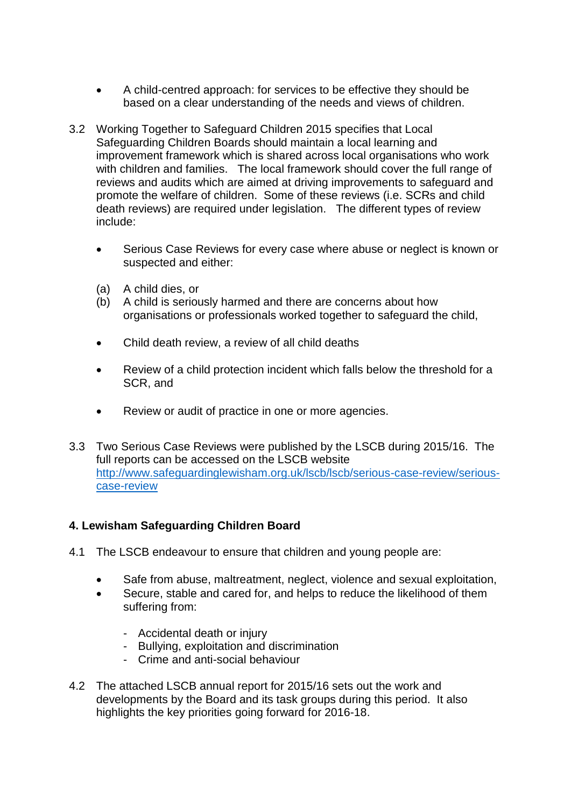- A child-centred approach: for services to be effective they should be based on a clear understanding of the needs and views of children.
- 3.2 Working Together to Safeguard Children 2015 specifies that Local Safeguarding Children Boards should maintain a local learning and improvement framework which is shared across local organisations who work with children and families. The local framework should cover the full range of reviews and audits which are aimed at driving improvements to safeguard and promote the welfare of children. Some of these reviews (i.e. SCRs and child death reviews) are required under legislation. The different types of review include:
	- Serious Case Reviews for every case where abuse or neglect is known or suspected and either:
	- (a) A child dies, or
	- (b) A child is seriously harmed and there are concerns about how organisations or professionals worked together to safeguard the child,
	- Child death review, a review of all child deaths
	- Review of a child protection incident which falls below the threshold for a SCR, and
	- Review or audit of practice in one or more agencies.
- 3.3 Two Serious Case Reviews were published by the LSCB during 2015/16. The full reports can be accessed on the LSCB website [http://www.safeguardinglewisham.org.uk/lscb/lscb/serious-case-review/serious](http://www.safeguardinglewisham.org.uk/lscb/lscb/serious-case-review/serious-case-review)[case-review](http://www.safeguardinglewisham.org.uk/lscb/lscb/serious-case-review/serious-case-review)

## **4. Lewisham Safeguarding Children Board**

- 4.1 The LSCB endeavour to ensure that children and young people are:
	- Safe from abuse, maltreatment, neglect, violence and sexual exploitation,
	- Secure, stable and cared for, and helps to reduce the likelihood of them suffering from:
		- Accidental death or injury
		- Bullying, exploitation and discrimination
		- Crime and anti-social behaviour
- 4.2 The attached LSCB annual report for 2015/16 sets out the work and developments by the Board and its task groups during this period. It also highlights the key priorities going forward for 2016-18.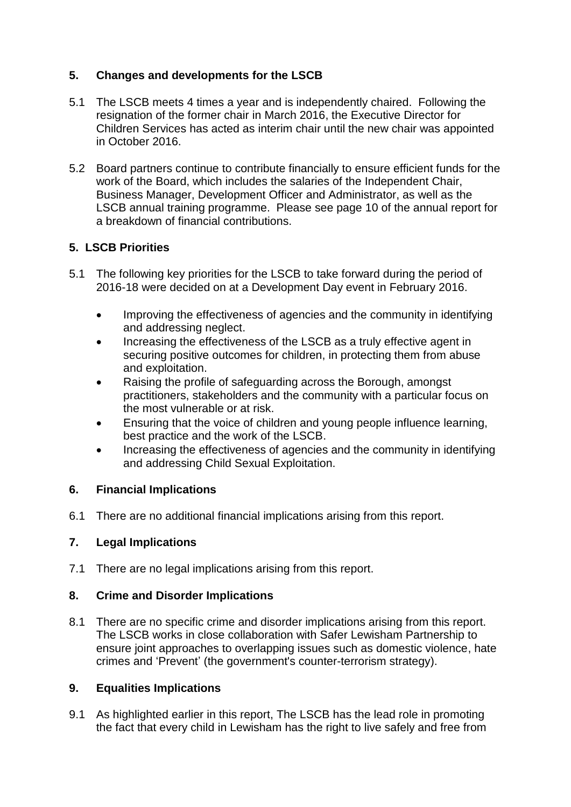# **5. Changes and developments for the LSCB**

- 5.1 The LSCB meets 4 times a year and is independently chaired. Following the resignation of the former chair in March 2016, the Executive Director for Children Services has acted as interim chair until the new chair was appointed in October 2016.
- 5.2 Board partners continue to contribute financially to ensure efficient funds for the work of the Board, which includes the salaries of the Independent Chair, Business Manager, Development Officer and Administrator, as well as the LSCB annual training programme. Please see page 10 of the annual report for a breakdown of financial contributions.

# **5. LSCB Priorities**

- 5.1 The following key priorities for the LSCB to take forward during the period of 2016-18 were decided on at a Development Day event in February 2016.
	- Improving the effectiveness of agencies and the community in identifying and addressing neglect.
	- Increasing the effectiveness of the LSCB as a truly effective agent in securing positive outcomes for children, in protecting them from abuse and exploitation.
	- Raising the profile of safeguarding across the Borough, amongst practitioners, stakeholders and the community with a particular focus on the most vulnerable or at risk.
	- Ensuring that the voice of children and young people influence learning, best practice and the work of the LSCB.
	- Increasing the effectiveness of agencies and the community in identifying and addressing Child Sexual Exploitation.

## **6. Financial Implications**

6.1 There are no additional financial implications arising from this report.

## **7. Legal Implications**

7.1 There are no legal implications arising from this report.

## **8. Crime and Disorder Implications**

8.1 There are no specific crime and disorder implications arising from this report. The LSCB works in close collaboration with Safer Lewisham Partnership to ensure joint approaches to overlapping issues such as domestic violence, hate crimes and 'Prevent' (the government's counter-terrorism strategy).

## **9. Equalities Implications**

9.1 As highlighted earlier in this report, The LSCB has the lead role in promoting the fact that every child in Lewisham has the right to live safely and free from